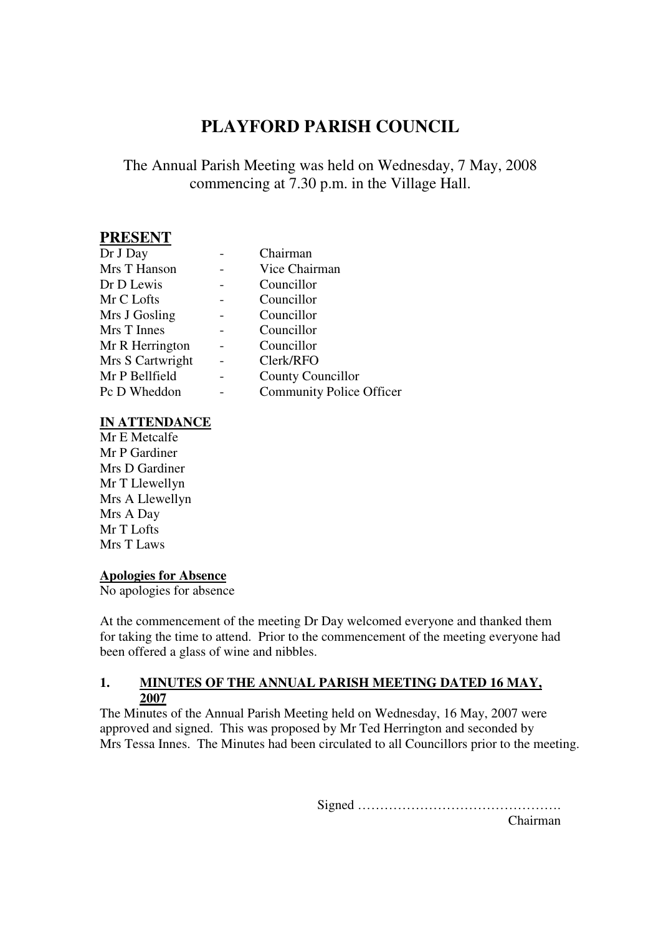# **PLAYFORD PARISH COUNCIL**

#### The Annual Parish Meeting was held on Wednesday, 7 May, 2008 commencing at 7.30 p.m. in the Village Hall.

#### **PRESENT**

| Dr J Day         | Chairman                        |
|------------------|---------------------------------|
| Mrs T Hanson     | Vice Chairman                   |
| Dr D Lewis       | Councillor                      |
| Mr C Lofts       | Councillor                      |
| Mrs J Gosling    | Councillor                      |
| Mrs T Innes      | Councillor                      |
| Mr R Herrington  | Councillor                      |
| Mrs S Cartwright | Clerk/RFO                       |
| Mr P Bellfield   | <b>County Councillor</b>        |
| Pc D Wheddon     | <b>Community Police Officer</b> |
|                  |                                 |

#### **IN ATTENDANCE**

Mr E Metcalfe Mr P Gardiner Mrs D Gardiner Mr T Llewellyn Mrs A Llewellyn Mrs A Day Mr T Lofts Mrs T Laws

#### **Apologies for Absence**

No apologies for absence

At the commencement of the meeting Dr Day welcomed everyone and thanked them for taking the time to attend. Prior to the commencement of the meeting everyone had been offered a glass of wine and nibbles.

#### **1. MINUTES OF THE ANNUAL PARISH MEETING DATED 16 MAY, 2007**

The Minutes of the Annual Parish Meeting held on Wednesday, 16 May, 2007 were approved and signed. This was proposed by Mr Ted Herrington and seconded by Mrs Tessa Innes. The Minutes had been circulated to all Councillors prior to the meeting.

Signed ……………………………………….

Chairman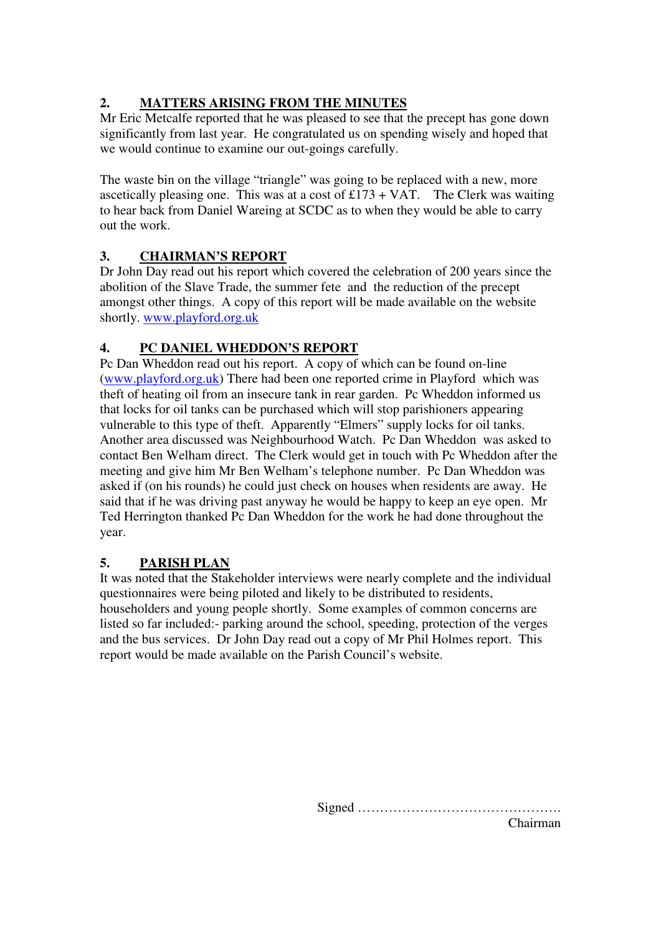### **2. MATTERS ARISING FROM THE MINUTES**

Mr Eric Metcalfe reported that he was pleased to see that the precept has gone down significantly from last year. He congratulated us on spending wisely and hoped that we would continue to examine our out-goings carefully.

The waste bin on the village "triangle" was going to be replaced with a new, more ascetically pleasing one. This was at a cost of  $£173 + VAT$ . The Clerk was waiting to hear back from Daniel Wareing at SCDC as to when they would be able to carry out the work.

### **3. CHAIRMAN'S REPORT**

Dr John Day read out his report which covered the celebration of 200 years since the abolition of the Slave Trade, the summer fete and the reduction of the precept amongst other things. A copy of this report will be made available on the website shortly. www.playford.org.uk

### **4. PC DANIEL WHEDDON'S REPORT**

Pc Dan Wheddon read out his report. A copy of which can be found on-line (www.playford.org.uk) There had been one reported crime in Playford which was theft of heating oil from an insecure tank in rear garden. Pc Wheddon informed us that locks for oil tanks can be purchased which will stop parishioners appearing vulnerable to this type of theft. Apparently "Elmers" supply locks for oil tanks. Another area discussed was Neighbourhood Watch. Pc Dan Wheddon was asked to contact Ben Welham direct. The Clerk would get in touch with Pc Wheddon after the meeting and give him Mr Ben Welham's telephone number. Pc Dan Wheddon was asked if (on his rounds) he could just check on houses when residents are away. He said that if he was driving past anyway he would be happy to keep an eye open. Mr Ted Herrington thanked Pc Dan Wheddon for the work he had done throughout the year.

### **5. PARISH PLAN**

It was noted that the Stakeholder interviews were nearly complete and the individual questionnaires were being piloted and likely to be distributed to residents, householders and young people shortly. Some examples of common concerns are listed so far included:- parking around the school, speeding, protection of the verges and the bus services. Dr John Day read out a copy of Mr Phil Holmes report. This report would be made available on the Parish Council's website.

Signed ……………………………………….

Chairman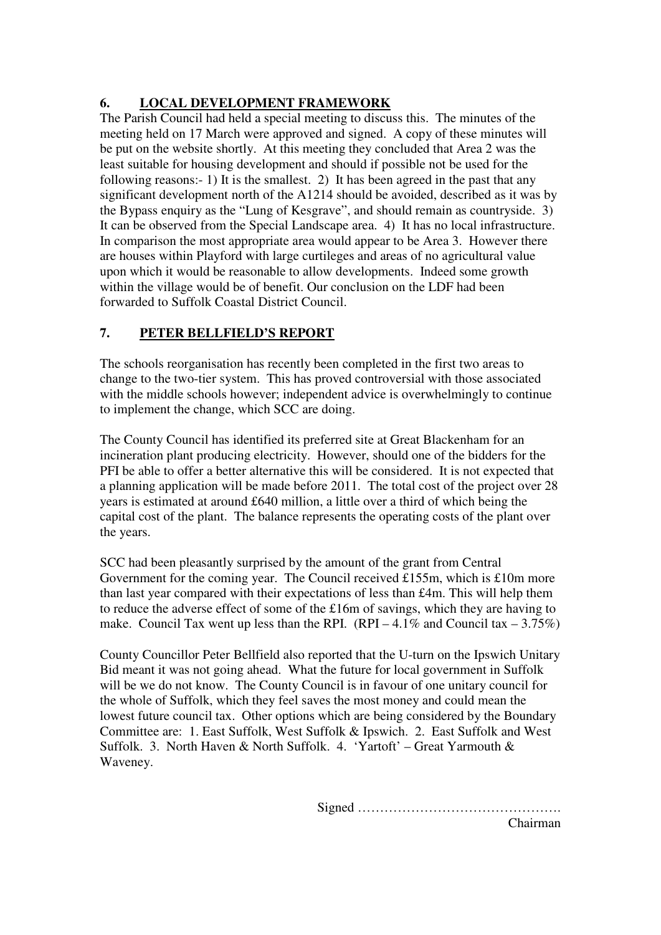#### **6. LOCAL DEVELOPMENT FRAMEWORK**

The Parish Council had held a special meeting to discuss this. The minutes of the meeting held on 17 March were approved and signed. A copy of these minutes will be put on the website shortly. At this meeting they concluded that Area 2 was the least suitable for housing development and should if possible not be used for the following reasons:- 1) It is the smallest. 2) It has been agreed in the past that any significant development north of the A1214 should be avoided, described as it was by the Bypass enquiry as the "Lung of Kesgrave", and should remain as countryside. 3) It can be observed from the Special Landscape area. 4) It has no local infrastructure. In comparison the most appropriate area would appear to be Area 3. However there are houses within Playford with large curtileges and areas of no agricultural value upon which it would be reasonable to allow developments. Indeed some growth within the village would be of benefit. Our conclusion on the LDF had been forwarded to Suffolk Coastal District Council.

#### **7. PETER BELLFIELD'S REPORT**

The schools reorganisation has recently been completed in the first two areas to change to the two-tier system. This has proved controversial with those associated with the middle schools however; independent advice is overwhelmingly to continue to implement the change, which SCC are doing.

The County Council has identified its preferred site at Great Blackenham for an incineration plant producing electricity. However, should one of the bidders for the PFI be able to offer a better alternative this will be considered. It is not expected that a planning application will be made before 2011. The total cost of the project over 28 years is estimated at around £640 million, a little over a third of which being the capital cost of the plant. The balance represents the operating costs of the plant over the years.

SCC had been pleasantly surprised by the amount of the grant from Central Government for the coming year. The Council received £155m, which is £10m more than last year compared with their expectations of less than £4m. This will help them to reduce the adverse effect of some of the £16m of savings, which they are having to make. Council Tax went up less than the RPI. (RPI – 4.1% and Council tax – 3.75%)

County Councillor Peter Bellfield also reported that the U-turn on the Ipswich Unitary Bid meant it was not going ahead. What the future for local government in Suffolk will be we do not know. The County Council is in favour of one unitary council for the whole of Suffolk, which they feel saves the most money and could mean the lowest future council tax. Other options which are being considered by the Boundary Committee are: 1. East Suffolk, West Suffolk & Ipswich. 2. East Suffolk and West Suffolk. 3. North Haven & North Suffolk. 4. 'Yartoft' – Great Yarmouth & Waveney.

Signed ……………………………………….

Chairman